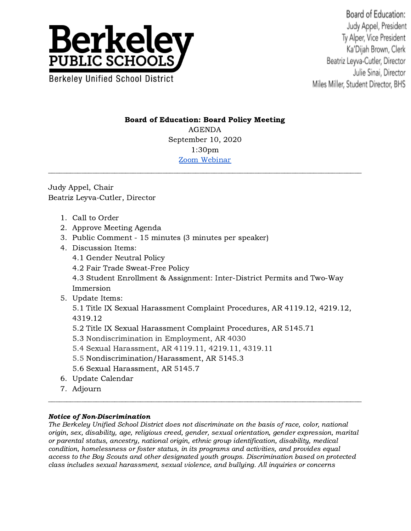

Board of Education: Judy Appel, President Ty Alper, Vice President Ka'Dijah Brown, Clerk Beatriz Leyva-Cutler, Director Julie Sinai, Director Miles Miller, Student Director, BHS

## Board of Education: Board Policy Meeting

AGENDA September 10, 2020 1:30pm Zoom [Webinar](https://us02web.zoom.us/j/87091302262?pwd=aDZOUUVoTXp2UndjNEpRZlAxM1F5dz09)

Judy Appel, Chair Beatriz Leyva-Cutler, Director

- 1. Call to Order
- 2. Approve Meeting Agenda
- 3. Public Comment 15 minutes (3 minutes per speaker)
- 4. Discussion Items:
	- 4.1 Gender Neutral Policy
	- 4.2 Fair Trade Sweat-Free Policy

4.3 Student Enrollment & Assignment: Inter-District Permits and Two-Way Immersion

5. Update Items:

5.1 Title IX Sexual Harassment Complaint Procedures, AR 4119.12, 4219.12, 4319.12

- 5.2 Title IX Sexual Harassment Complaint Procedures, AR 5145.71
- 5.3 Nondiscrimination in Employment, AR 4030
- 5.4 Sexual Harassment, AR 4119.11, 4219.11, 4319.11
- 5.5 Nondiscrimination/Harassment, AR 5145.3
- 5.6 Sexual Harassment, AR 5145.7
- 6. Update Calendar
- 7. Adjourn

## Notice of Non-Discrimination

The Berkeley Unified School District does not discriminate on the basis of race, color, national origin, sex, disability, age, religious creed, gender, sexual orientation, gender expression, marital or parental status, ancestry, national origin, ethnic group identification, disability, medical condition, homelessness or foster status, in its programs and activities, and provides equal access to the Boy Scouts and other designated youth groups. Discrimination based on protected class includes sexual harassment, sexual violence, and bullying. All inquiries or concerns